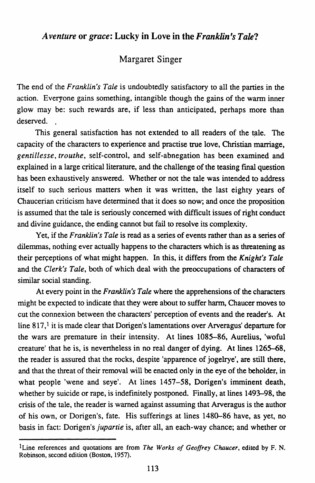## *A venture* or *grace:* Lucky in Love in the *Franklin's Tale?*

## Margaret Singer

The end of the *Franklin's Tale* is undoubtedly satisfactory to all the parties in the action. Everyone gains something, intangible though the gains of the warm inner glow may be: such rewards are, if less than anticipated, perhaps more than deserved. .

This general satisfaction has not extended to all readers of the tale. The capacity of the characters to experience and practise true love, Christian marriage, *gentillesse, trouthe,* self-control, and self-abnegation has been examined and explained in a large critical literature, and the challenge of the teasing fmal question has been exhaustively answered. Whether or not the tale was intended to address itself to such serious matters when it was written, the last eighty years of Chaucerian criticism have determined that it does so now; and once the proposition is assumed that the tale is seriously concerned with difficult issues of right conduct and divine guidance, the ending cannot but fail to resolve its complexity.

Yet, if the *Franklin's Tale* is read as a series of events rather than as a series of dilemmas, nothing ever actually happens to the characters which is as threatening as their perceptions of what might happen. In this, it differs from the *Knight's Tale*  and the *Clerk's Tale,* both of which deal with the preoccupations of characters of similar social standing.

At every point in the *Franklin's Tale* where the apprehensions of the characters might be expected to indicate that they were about to suffer harm, Chaucer moves to cut the connexion between the characters' perception of events and the reader's. At line 817,<sup>1</sup> it is made clear that Dorigen's lamentations over Arveragus' departure for the wars are premature in their intensity. At lines 1085-86, Aurelius, 'woful creature' that he is, is nevertheless in no real danger of dying. At lines 1265-68, the reader is assured that the rocks, despite 'apparence of jogelrye', are still there, and that the threat of their removal will be enacted only in the eye of the beholder, in what people 'wene and seye'. At lines 1457-58, Dorigen's imminent death, whether by suicide or rape, is indefinitely postponed. Finally, at lines 1493–98, the crisis of the tale, the reader is warned against assuming that Arveragus is the author of his own, or Dorigen's, fate. His sufferings at lines 1480-86 have, as yet, no basis in fact: Dorigen's *jupartie* is, after all, an each-way chance; and whether or

lLine references and quotations are from *The Works of Geoffrey Chaucer,* edited by F. N. Robinson, second edition (Boston, 1957).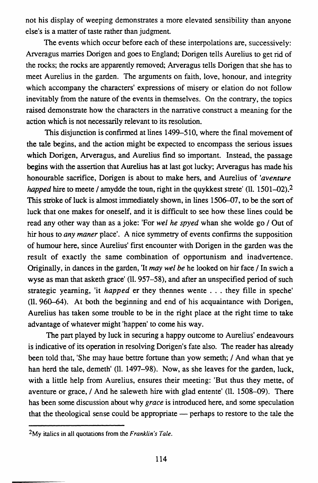not his display of weeping demonstrates a more elevated sensibility than anyone else's is a matter of taste rather than judgment.

The events which occur before each of these interpolations are, successively: Arveragus marries Dorigen and goes to England; Dorigen tells Aurelius to get rid of the rocks; the rocks are apparently removed; Arveragus tells Dorigen that she has to meet Aurelius in the garden. The arguments on faith, love, honour, and integrity which accompany the characters' expressions of misery or elation do not follow inevitably from the nature of the events in themselves. On the contrary, the topics raised demonstrate how the characters in the narrative construct a meaning for the action which is not necessarily relevant to its resolution.

This disjunction is confirmed at lines 1499-510, where the final movement of the tale begins, and the action might be expected to encompass the serious issues which Dorigen, Arveragus, and Aurelius find so important. Instead, the passage begins with the assertion that Aurelius has at last got lucky; Arveragus has made his honourable sacrifice, Dorigen is about to make hers, and Aurelius of *'aventure happed* hire to meete *I* amydde the toun, right in the quykkest strete' (11. 1501–02).<sup>2</sup> This stroke of luck is almost immediately shown, in lines 1506-07, to be the sort of luck that one makes for oneself, and it is difficult to see how these lines could be read any other way than as a joke: 'For *wei he spyed* whan she wolde go *I* Out of hir hous to *any maner* place'. A nice symmetry of events confirms the supposition of humour here, since Aurelius' first encounter with Dorigen in the garden was the result of exactly the same combination of opportunism and inadvertence. Originally, in dances in the garden, 'It *may wei be* he looked on hir face *I* In swich a wyse as man that asketh grace' (ll. 957-58), and after an unspecified period of such strategic yearning, 'it *happed* er they thennes wente ... they fille in speche' (11. 960-64). At both the beginning and end of his acquaintance with Dorigen, Aurelius has taken some trouble to be in the right place at the right time to take advantage of whatever might 'happen' to come his way.

The part played by luck in securing a happy outcome to Aurelius' endeavours is indicative of its operation in resolving Dorigen's fate also. The reader has already been told that, 'She may haue bettre fortune than yow semeth; / And whan that ye han herd the tale, demeth' (ll. 1497-98). Now, as she leaves for the garden, luck, with a little help from Aurelius, ensures their meeting: 'But thus they mette, of aventure or grace,  $/$  And he saleweth hire with glad entente' (11, 1508–09). There has been some discussion about why *grace* is introduced here, and some speculation that the theological sense could be appropriate - perhaps to restore to the tale the

<sup>2</sup>My italics in all quotations from the *Franklin's Tale.*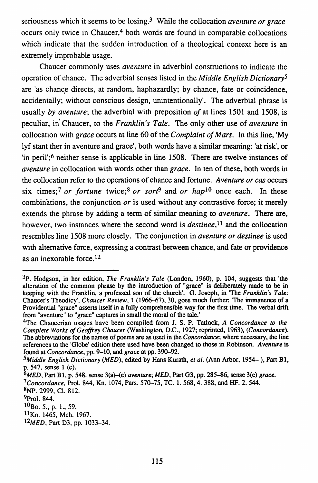seriousness which it seems to be losing.3 While the collocation *aventure or grace*  occurs only twice in Chaucer,<sup>4</sup> both words are found in comparable collocations which indicate that the sudden introduction of a theological context here is an extremely improbable usage.

Chaucer commonly uses *aventure* in adverbial constructions to indicate the operation of chance. The adverbial senses listed in the *Middle English Dictionary5*  are 'as chance directs, at random, haphazardly; by chance, fate or coincidence, accidentally; without conscious design, unintentionally'. The adverbial phrase is usually *by aventure;* the adverbial with preposition *of* at lines 1501 and 1508, is peculiar, in' Chaucer, to the *Franklin's Tale.* The only other use of *aventure* in collocation with *grace* occurs at line 60 of the *Complaint of Mars.* In this line, 'My lyf stant ther in aventure and grace', both words have a similar meaning: 'at risk', or 'in peril';6 neither sense is applicable in line 1508. There are twelve instances of *aventure* in collocation with words other than *grace.* In ten of these, both words in the collocation refer to the operations of chance and fortune. *A venture or cas* occurs six times;<sup>7</sup> *or fortune* twice;<sup>8</sup> *or sort*<sup>9</sup> and *or hap*<sup>10</sup> once each. In these combinations, the conjunction *or* is used without any contrastive force; it merely extends the phrase by adding a term of similar meaning to *aventure.* There are, however, two instances where the second word is *destinee,11* and the collocation resembles line 1508 more closely. The conjunction in *aventure or destinee* is used with alternative force, expressing a contrast between chance, and fate or providence as an inexorable force.12

<sup>3</sup>p. Hodgson, in her edition, *The Franklin's Tale* (London, 1960), p. 104, suggests that 'the alteration of the common phrase by the introduction of "grace" is deliberately made to be in keeping with the Franklin, a professed son of the church'. G. Joseph, in 'The *Franklin's Tale:*  Chaucer's Theodicy', *Chaucer Review,* l (1966-67), 30, goes much further: 'The immanence of a Providential "grace" asserts itself in a fully comprehensible way for the first time. The verbal drift from "aventure" to "grace" captures in small the moral of the tale.'

<sup>4</sup>The Chaucerian usages have been compiled from J. S. P. Tatlock, *A Concordance to the Complete Works of Geoffrey Chaucer* (Washington, D.C., 1927; reprinted, 1963), *(Concordance).*  The abbreviations for the names of poems are as used in the *Concordance;* where necessary, the line references to the 'Globe' edition there used have been changed to those in Robinson. A *venture* is found at *Concordance*, pp. 9-10, and *grace* at pp. 390-92.

*<sup>5</sup>Middle English Dictionary (MED),* edited by Hans Kurath, *eta/.* (Ann Arbor, 1954- ), Part Bl, p. 547, sense l (c).

*<sup>6</sup>MED,* Part Bl, p. 548. sense 3(a)-(e) *aventure; MED,* Part G3, pp. 285-86, sense 3(e) *grace.* 

*<sup>?</sup>concordance,* Pro!. 844, Kn. 1074, Pars. 570-75, TC. l. 568, 4. 388, and HF. 2. 544.

<sup>8</sup>NP. 2999, Cl. 812.

<sup>9</sup>Prol. 844.

lOBo. *5.,* p. l., 59.

llKn. 1465, Mch. 1967.

<sup>12</sup>M *ED,* Part 03, pp. 1033-34.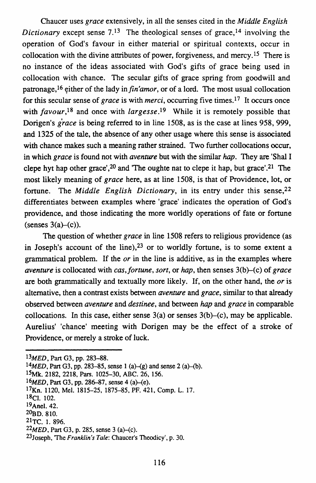Chaucer uses *grace* extensively, in all the senses cited in the *Middle English Dictionary* except sense  $7<sup>13</sup>$  The theological senses of grace.<sup>14</sup> involving the operation of God's favour in either material or spiritual contexts, occur in collocation with the divine attributes of power, forgiveness, and mercy ,15 There is no instance of the ideas associated with God's gifts of grace being used in collocation with chance. The secular gifts of grace spring from goodwill and patronage,<sup>16</sup> either of the lady in *fin'amor*, or of a lord. The most usual collocation for this secular sense of *grace* is with *merci,* occurring five times.17 It occurs once with *favour,18* and once with *largesse.!9* While it is remotely possible that Dorigen's *grace* is being referred to in line 1508, as is the case at lines 958, 999, and 1325 of the tale, the absence of any other usage where this sense is associated with chance makes such a meaning rather strained. Two further collocations occur, in which *grace* is found not with *aventure* but with the similar hap. They are 'Shal I clepe hyt hap other grace',  $20$  and 'The oughte nat to clepe it hap, but grace'.  $21$  The most likely meaning of *grace* here, as at line 1508, is that of Providence, lot, or fortune. The *Middle English Dictionary*, in its entry under this sense, 22 differentiates between examples where 'grace' indicates the operation of God's providence, and those indicating the more worldly operations of fate or fortune  $(senses 3(a)–(c))$ .

The question of whether *grace* in line 1508 refers to religious providence (as in Joseph's account of the line), $2<sup>3</sup>$  or to worldly fortune, is to some extent a grammatical problem. If the *or* in the line is additive, as in the examples where *aventure* is collocated with *cas, fortune, sort,* or *hap,* then senses 3(b)-(c) of *grace*  are both grammatically and textually more likely. If, on the other hand, the *or* is alternative, then a contrast exists between *aventure* and *grace,* similar to that already observed between *aventure* and *destinee,* and between hap and *grace* in comparable collocations. In this case, either sense  $3(a)$  or senses  $3(b)$ –(c), may be applicable. Aurelius' 'chance' meeting with Dorigen may be the effect of a stroke of Providence, or merely a stroke of luck.

*<sup>13</sup>MED,* Part G3, pp. 283-88.

*<sup>14</sup>MED,* Part G3, pp. 283-85, sense 1 (a)-{g) and sense 2 (a)-(b).

<sup>&</sup>lt;sup>15</sup>Mk, 2182, 2218, Pars. 1025-30, ABC. 26, 156.

<sup>&</sup>lt;sup>16</sup>MED, Part G3, pp. 286–87, sense 4 (a)–(e).

<sup>17</sup>Kn. 1120, Mel. 1815-25, 1875-85, PF. 421, Comp. L. 17.

 $18$ Cl. 102.

<sup>19</sup>Ane1. 42.

<sup>20</sup>ao. s1o.

<sup>21</sup>TC. 1. 896.

<sup>&</sup>lt;sup>22</sup>MED, Part G3, p. 285, sense 3 (a)–(c).

<sup>23</sup>Joseph, The *Franklin's Tale:* Chaucer's Theodicy', p. 30.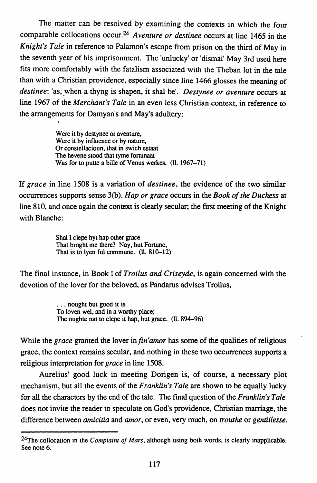The matter can be resolved by examining the contexts in which the four comparable collocations occur.24 *A venture or destinee* occurs at line 1465 in the *Knight's Tale* in reference to Palamon's escape from prison on the third of May in the seventh year of his imprisonment. The 'unlucky' or 'dismal' May 3rd used here fits more comfortably with the fatalism associated with the Theban lot in the tale than with a Christian providence, especially since line 1466 glosses the meaning of *destinee: 'as, when a thyng is shapen, it shal be'. Destynee or aventure occurs at* line 1967 of the *Merchant's Tale* in an even less Christian context, in reference to the arrangements for Damyan's and May's adultery:

> Were it by destynee or aventure, Were it by influence or by nature, Or constellacioun, that in swich estaat The hevene stood that tyme fortunaat Was for to putte a bille of Venus werkes. (ll. 1967-71)

If *grace* in line 1508 is a variation of *destinee,* the evidence of the two similar occurrences supports sense 3(b). *Hap or grace* occurs in the *Book of the Duchess* at line 810, and once again the context is clearly secular; the first meeting of the Knight with Blanche:

> Shal I clepe hyt hap other grace That broght me there? Nay, but Fortune, That is to lyen ful commune. (ll. 810-12)

The final instance, in Book I of *Troilus and Criseyde,* is again concerned with the devotion of the lover for the beloved, as Pandarus advises Troilus,

> ... nought but good it is To Ioven wei, and in a worthy place; The oughte nat to clepe it hap, but grace. (11, 894-96)

While the *grace* granted the lover *infin'amor* has some of the qualities of religious grace, the context remains secular, and nothing in these two occurrences supports a religious interpretation for *grace* in line 1508.

Aurelius' good luck in meeting Dorigen is, of course, a necessary plot mechanism, but all the events of the *Franklin's Tale* are shown to be equally lucky for all the characters by the end of the tale. The final question of the *Franklin's Tale*  does not invite the reader to speculate on God's providence, Christian marriage, the difference between *amicitia* and *amor,* or even, very much, on *trouthe* or *gentillesse.* 

<sup>&</sup>lt;sup>24</sup>The collocation in the *Complaint of Mars*, although using both words, is clearly inapplicable. See note 6.